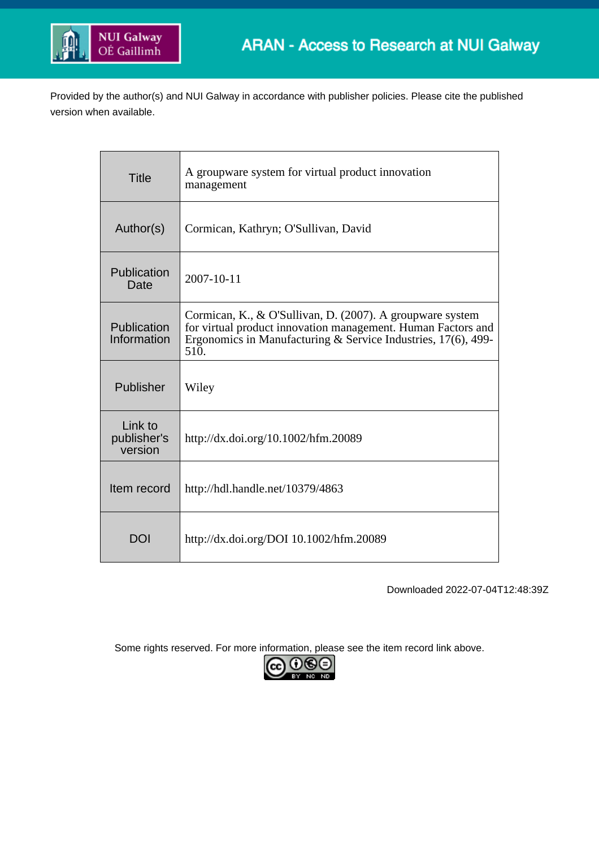

Provided by the author(s) and NUI Galway in accordance with publisher policies. Please cite the published version when available.

| <b>Title</b>                      | A groupware system for virtual product innovation<br>management                                                                                                                                       |  |
|-----------------------------------|-------------------------------------------------------------------------------------------------------------------------------------------------------------------------------------------------------|--|
| Author(s)                         | Cormican, Kathryn; O'Sullivan, David                                                                                                                                                                  |  |
| Publication<br>Date               | 2007-10-11                                                                                                                                                                                            |  |
| Publication<br>Information        | Cormican, K., & O'Sullivan, D. (2007). A groupware system<br>for virtual product innovation management. Human Factors and<br>Ergonomics in Manufacturing & Service Industries, $17(6)$ , 499-<br>510. |  |
| Publisher                         | Wiley                                                                                                                                                                                                 |  |
| Link to<br>publisher's<br>version | http://dx.doi.org/10.1002/hfm.20089                                                                                                                                                                   |  |
| Item record                       | http://hdl.handle.net/10379/4863                                                                                                                                                                      |  |
| DOI                               | http://dx.doi.org/DOI 10.1002/hfm.20089                                                                                                                                                               |  |

Downloaded 2022-07-04T12:48:39Z

Some rights reserved. For more information, please see the item record link above.

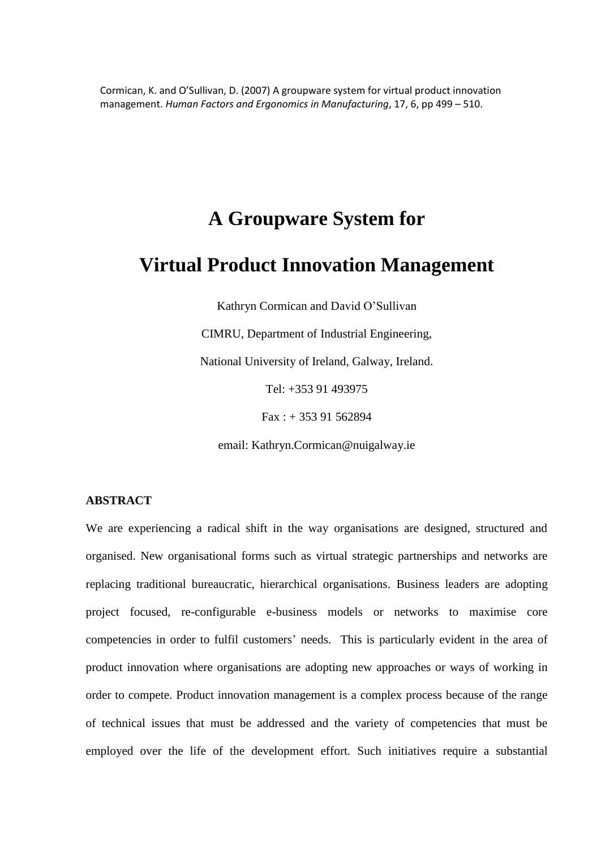Cormican, K. and O'Sullivan, D. (2007) A groupware system for virtual product innovation management. *Human Factors and Ergonomics in Manufacturing*, 17, 6, pp 499 – 510.

# **A Groupware System for**

# **Virtual Product Innovation Management**

Kathryn Cormican and David O'Sullivan

CIMRU, Department of Industrial Engineering,

National University of Ireland, Galway, Ireland.

Tel: +353 91 493975

Fax : + 353 91 562894

email: [Kathryn.Cormican@nuigalway.ie](mailto:Kathryn.Cormican@nuigalway.ie)

# **ABSTRACT**

We are experiencing a radical shift in the way organisations are designed, structured and organised. New organisational forms such as virtual strategic partnerships and networks are replacing traditional bureaucratic, hierarchical organisations. Business leaders are adopting project focused, re-configurable e-business models or networks to maximise core competencies in order to fulfil customers' needs. This is particularly evident in the area of product innovation where organisations are adopting new approaches or ways of working in order to compete. Product innovation management is a complex process because of the range of technical issues that must be addressed and the variety of competencies that must be employed over the life of the development effort. Such initiatives require a substantial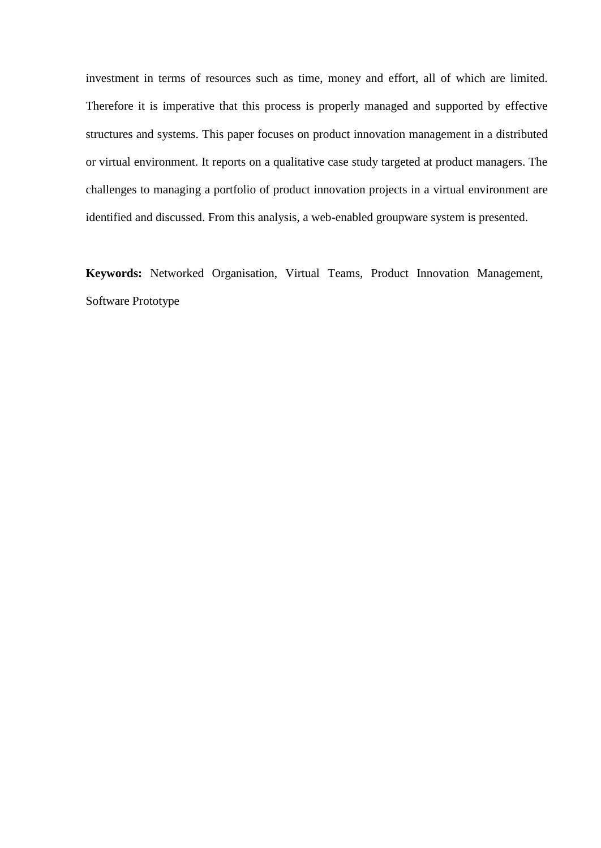investment in terms of resources such as time, money and effort, all of which are limited. Therefore it is imperative that this process is properly managed and supported by effective structures and systems. This paper focuses on product innovation management in a distributed or virtual environment. It reports on a qualitative case study targeted at product managers. The challenges to managing a portfolio of product innovation projects in a virtual environment are identified and discussed. From this analysis, a web-enabled groupware system is presented.

**Keywords:** Networked Organisation, Virtual Teams, Product Innovation Management, Software Prototype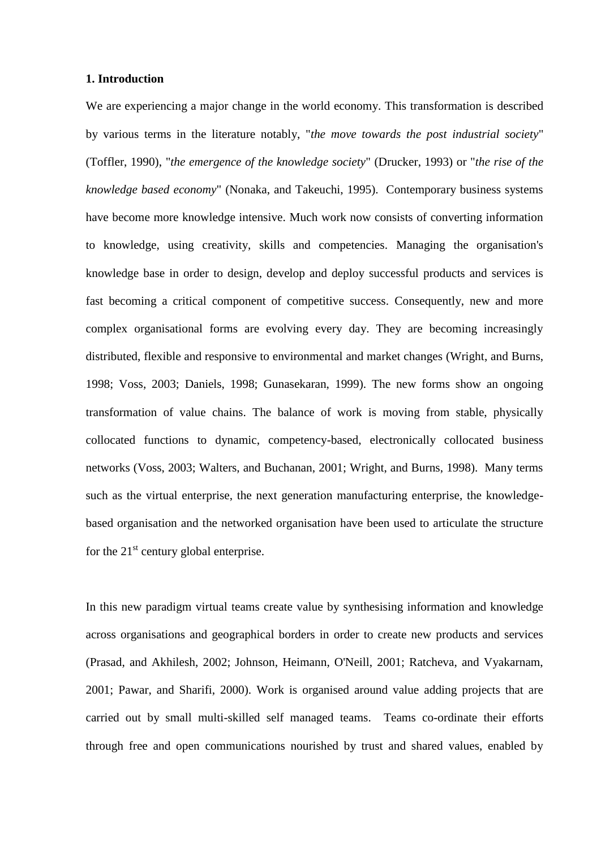#### **1. Introduction**

We are experiencing a major change in the world economy. This transformation is described by various terms in the literature notably, "*the move towards the post industrial society*" (Toffler, 1990), "*the emergence of the knowledge society*" (Drucker, 1993) or "*the rise of the knowledge based economy*" (Nonaka, and Takeuchi, 1995). Contemporary business systems have become more knowledge intensive. Much work now consists of converting information to knowledge, using creativity, skills and competencies. Managing the organisation's knowledge base in order to design, develop and deploy successful products and services is fast becoming a critical component of competitive success. Consequently, new and more complex organisational forms are evolving every day. They are becoming increasingly distributed, flexible and responsive to environmental and market changes (Wright, and Burns, 1998; Voss, 2003; Daniels, 1998; Gunasekaran, 1999). The new forms show an ongoing transformation of value chains. The balance of work is moving from stable, physically collocated functions to dynamic, competency-based, electronically collocated business networks (Voss, 2003; Walters, and Buchanan, 2001; Wright, and Burns, 1998). Many terms such as the virtual enterprise, the next generation manufacturing enterprise, the knowledgebased organisation and the networked organisation have been used to articulate the structure for the  $21<sup>st</sup>$  century global enterprise.

In this new paradigm virtual teams create value by synthesising information and knowledge across organisations and geographical borders in order to create new products and services (Prasad, and Akhilesh, 2002; Johnson, Heimann, O'Neill, 2001; Ratcheva, and Vyakarnam, 2001; Pawar, and Sharifi, 2000). Work is organised around value adding projects that are carried out by small multi-skilled self managed teams. Teams co-ordinate their efforts through free and open communications nourished by trust and shared values, enabled by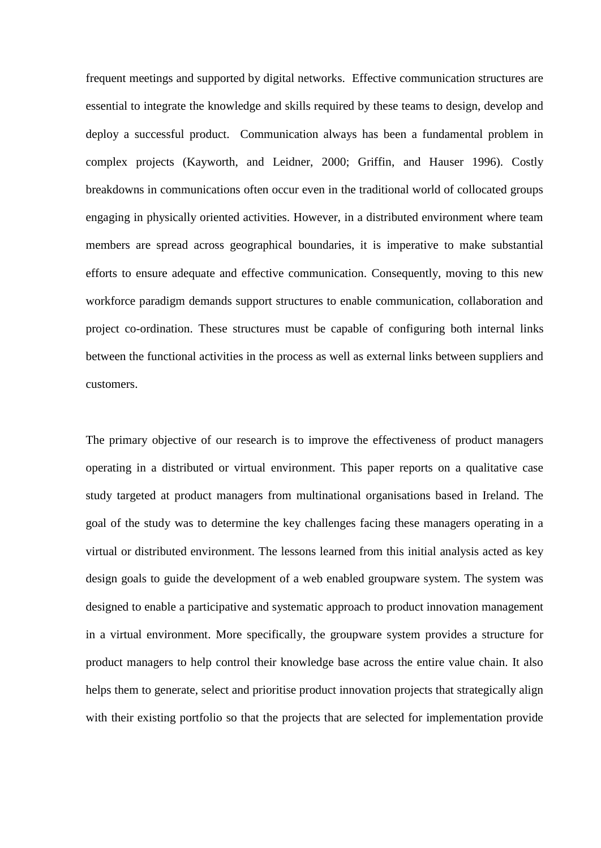frequent meetings and supported by digital networks. Effective communication structures are essential to integrate the knowledge and skills required by these teams to design, develop and deploy a successful product. Communication always has been a fundamental problem in complex projects (Kayworth, and Leidner, 2000; Griffin, and Hauser 1996). Costly breakdowns in communications often occur even in the traditional world of collocated groups engaging in physically oriented activities. However, in a distributed environment where team members are spread across geographical boundaries, it is imperative to make substantial efforts to ensure adequate and effective communication. Consequently, moving to this new workforce paradigm demands support structures to enable communication, collaboration and project co-ordination. These structures must be capable of configuring both internal links between the functional activities in the process as well as external links between suppliers and customers.

The primary objective of our research is to improve the effectiveness of product managers operating in a distributed or virtual environment. This paper reports on a qualitative case study targeted at product managers from multinational organisations based in Ireland. The goal of the study was to determine the key challenges facing these managers operating in a virtual or distributed environment. The lessons learned from this initial analysis acted as key design goals to guide the development of a web enabled groupware system. The system was designed to enable a participative and systematic approach to product innovation management in a virtual environment. More specifically, the groupware system provides a structure for product managers to help control their knowledge base across the entire value chain. It also helps them to generate, select and prioritise product innovation projects that strategically align with their existing portfolio so that the projects that are selected for implementation provide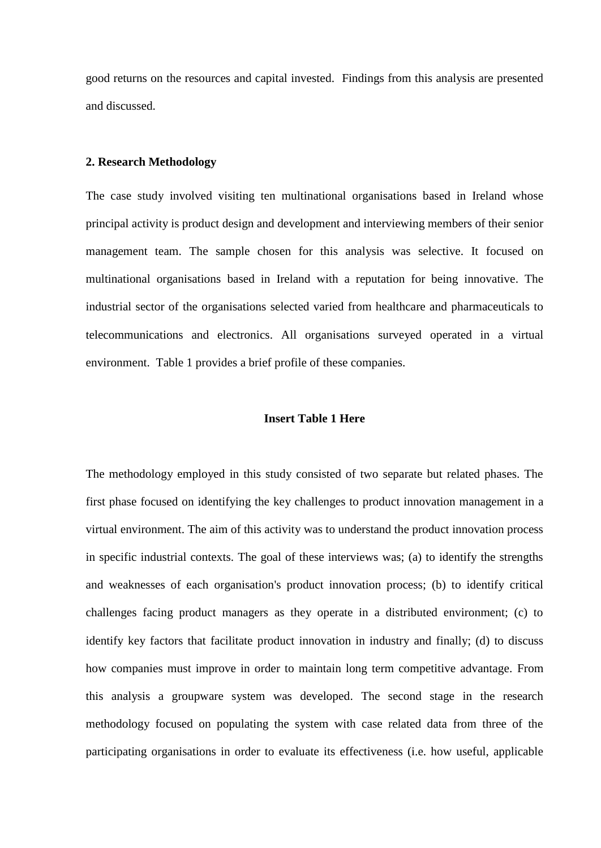good returns on the resources and capital invested. Findings from this analysis are presented and discussed.

### **2. Research Methodology**

The case study involved visiting ten multinational organisations based in Ireland whose principal activity is product design and development and interviewing members of their senior management team. The sample chosen for this analysis was selective. It focused on multinational organisations based in Ireland with a reputation for being innovative. The industrial sector of the organisations selected varied from healthcare and pharmaceuticals to telecommunications and electronics. All organisations surveyed operated in a virtual environment. Table 1 provides a brief profile of these companies.

#### **Insert Table 1 Here**

The methodology employed in this study consisted of two separate but related phases. The first phase focused on identifying the key challenges to product innovation management in a virtual environment. The aim of this activity was to understand the product innovation process in specific industrial contexts. The goal of these interviews was; (a) to identify the strengths and weaknesses of each organisation's product innovation process; (b) to identify critical challenges facing product managers as they operate in a distributed environment; (c) to identify key factors that facilitate product innovation in industry and finally; (d) to discuss how companies must improve in order to maintain long term competitive advantage. From this analysis a groupware system was developed. The second stage in the research methodology focused on populating the system with case related data from three of the participating organisations in order to evaluate its effectiveness (i.e. how useful, applicable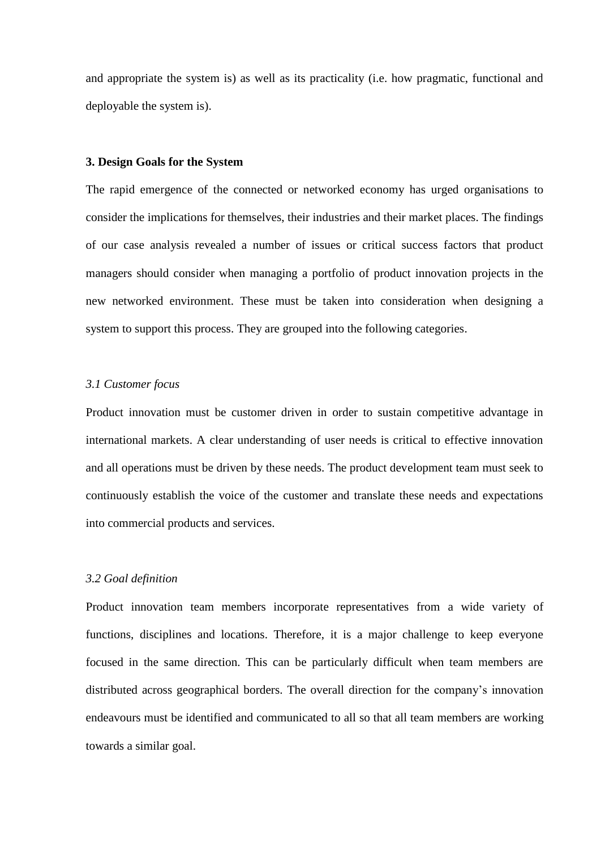and appropriate the system is) as well as its practicality (i.e. how pragmatic, functional and deployable the system is).

# **3. Design Goals for the System**

The rapid emergence of the connected or networked economy has urged organisations to consider the implications for themselves, their industries and their market places. The findings of our case analysis revealed a number of issues or critical success factors that product managers should consider when managing a portfolio of product innovation projects in the new networked environment. These must be taken into consideration when designing a system to support this process. They are grouped into the following categories.

## *3.1 Customer focus*

Product innovation must be customer driven in order to sustain competitive advantage in international markets. A clear understanding of user needs is critical to effective innovation and all operations must be driven by these needs. The product development team must seek to continuously establish the voice of the customer and translate these needs and expectations into commercial products and services.

## *3.2 Goal definition*

Product innovation team members incorporate representatives from a wide variety of functions, disciplines and locations. Therefore, it is a major challenge to keep everyone focused in the same direction. This can be particularly difficult when team members are distributed across geographical borders. The overall direction for the company's innovation endeavours must be identified and communicated to all so that all team members are working towards a similar goal.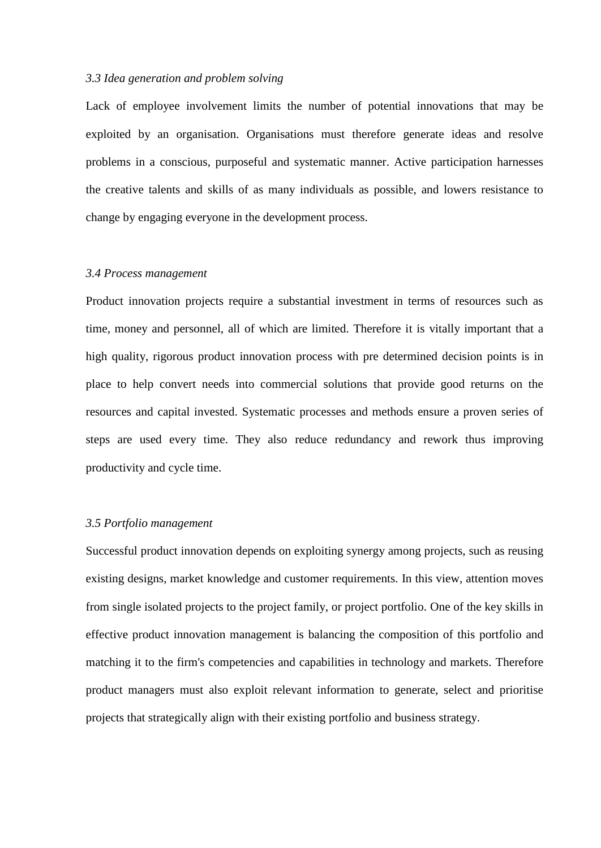## *3.3 Idea generation and problem solving*

Lack of employee involvement limits the number of potential innovations that may be exploited by an organisation. Organisations must therefore generate ideas and resolve problems in a conscious, purposeful and systematic manner. Active participation harnesses the creative talents and skills of as many individuals as possible, and lowers resistance to change by engaging everyone in the development process.

## *3.4 Process management*

Product innovation projects require a substantial investment in terms of resources such as time, money and personnel, all of which are limited. Therefore it is vitally important that a high quality, rigorous product innovation process with pre determined decision points is in place to help convert needs into commercial solutions that provide good returns on the resources and capital invested. Systematic processes and methods ensure a proven series of steps are used every time. They also reduce redundancy and rework thus improving productivity and cycle time.

## *3.5 Portfolio management*

Successful product innovation depends on exploiting synergy among projects, such as reusing existing designs, market knowledge and customer requirements. In this view, attention moves from single isolated projects to the project family, or project portfolio. One of the key skills in effective product innovation management is balancing the composition of this portfolio and matching it to the firm's competencies and capabilities in technology and markets. Therefore product managers must also exploit relevant information to generate, select and prioritise projects that strategically align with their existing portfolio and business strategy.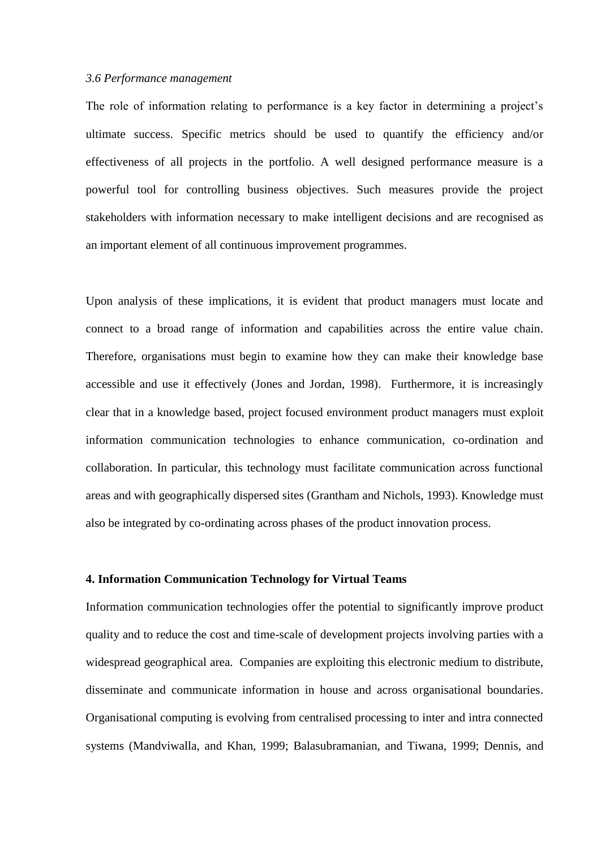#### *3.6 Performance management*

The role of information relating to performance is a key factor in determining a project's ultimate success. Specific metrics should be used to quantify the efficiency and/or effectiveness of all projects in the portfolio. A well designed performance measure is a powerful tool for controlling business objectives. Such measures provide the project stakeholders with information necessary to make intelligent decisions and are recognised as an important element of all continuous improvement programmes.

Upon analysis of these implications, it is evident that product managers must locate and connect to a broad range of information and capabilities across the entire value chain. Therefore, organisations must begin to examine how they can make their knowledge base accessible and use it effectively (Jones and Jordan, 1998). Furthermore, it is increasingly clear that in a knowledge based, project focused environment product managers must exploit information communication technologies to enhance communication, co-ordination and collaboration. In particular, this technology must facilitate communication across functional areas and with geographically dispersed sites (Grantham and Nichols, 1993). Knowledge must also be integrated by co-ordinating across phases of the product innovation process.

#### **4. Information Communication Technology for Virtual Teams**

Information communication technologies offer the potential to significantly improve product quality and to reduce the cost and time-scale of development projects involving parties with a widespread geographical area. Companies are exploiting this electronic medium to distribute, disseminate and communicate information in house and across organisational boundaries. Organisational computing is evolving from centralised processing to inter and intra connected systems (Mandviwalla, and Khan, 1999; Balasubramanian, and Tiwana, 1999; Dennis, and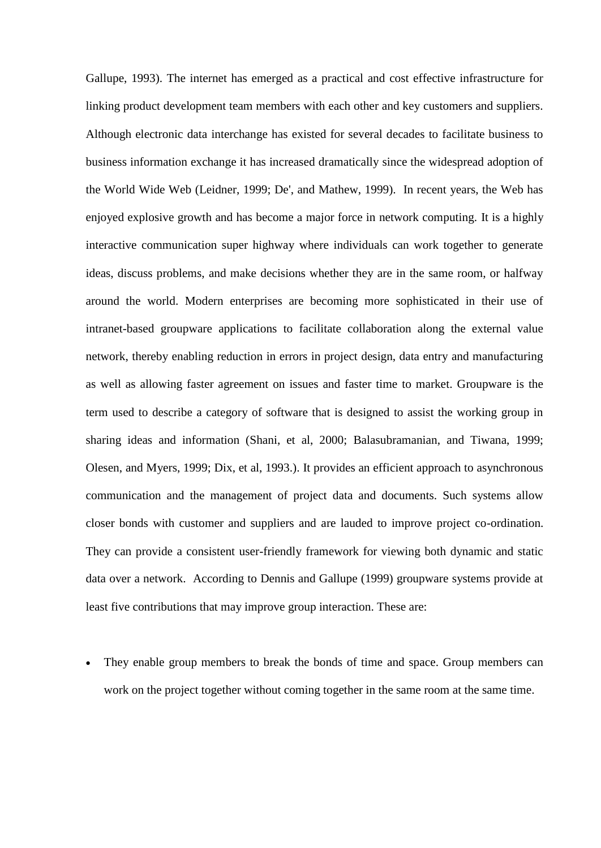Gallupe, 1993). The internet has emerged as a practical and cost effective infrastructure for linking product development team members with each other and key customers and suppliers. Although electronic data interchange has existed for several decades to facilitate business to business information exchange it has increased dramatically since the widespread adoption of the World Wide Web (Leidner, 1999; De', and Mathew, 1999). In recent years, the Web has enjoyed explosive growth and has become a major force in network computing. It is a highly interactive communication super highway where individuals can work together to generate ideas, discuss problems, and make decisions whether they are in the same room, or halfway around the world. Modern enterprises are becoming more sophisticated in their use of intranet-based groupware applications to facilitate collaboration along the external value network, thereby enabling reduction in errors in project design, data entry and manufacturing as well as allowing faster agreement on issues and faster time to market. Groupware is the term used to describe a category of software that is designed to assist the working group in sharing ideas and information (Shani, et al, 2000; Balasubramanian, and Tiwana, 1999; Olesen, and Myers, 1999; Dix, et al, 1993.). It provides an efficient approach to asynchronous communication and the management of project data and documents. Such systems allow closer bonds with customer and suppliers and are lauded to improve project co-ordination. They can provide a consistent user-friendly framework for viewing both dynamic and static data over a network. According to Dennis and Gallupe (1999) groupware systems provide at least five contributions that may improve group interaction. These are:

 They enable group members to break the bonds of time and space. Group members can work on the project together without coming together in the same room at the same time.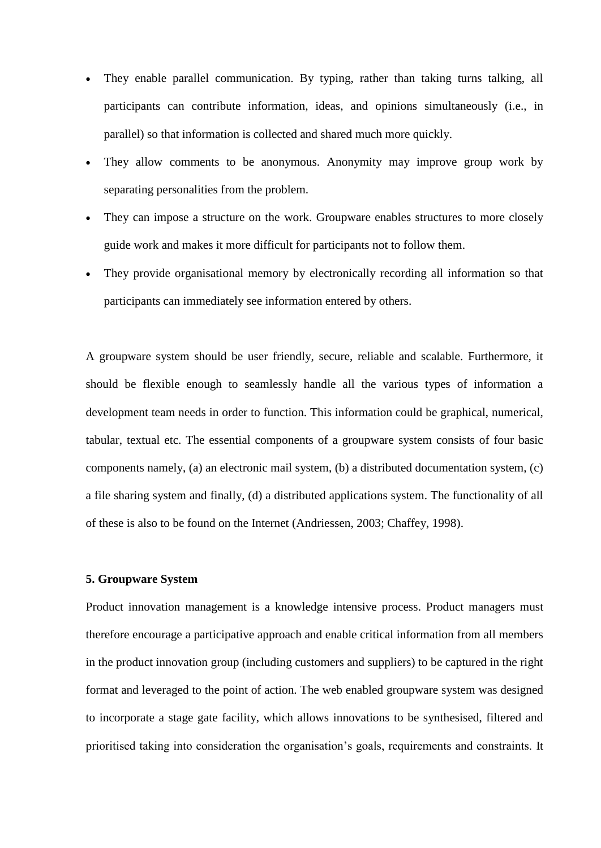- They enable parallel communication. By typing, rather than taking turns talking, all participants can contribute information, ideas, and opinions simultaneously (i.e., in parallel) so that information is collected and shared much more quickly.
- They allow comments to be anonymous. Anonymity may improve group work by separating personalities from the problem.
- They can impose a structure on the work. Groupware enables structures to more closely guide work and makes it more difficult for participants not to follow them.
- They provide organisational memory by electronically recording all information so that participants can immediately see information entered by others.

A groupware system should be user friendly, secure, reliable and scalable. Furthermore, it should be flexible enough to seamlessly handle all the various types of information a development team needs in order to function. This information could be graphical, numerical, tabular, textual etc. The essential components of a groupware system consists of four basic components namely, (a) an electronic mail system, (b) a distributed documentation system, (c) a file sharing system and finally, (d) a distributed applications system. The functionality of all of these is also to be found on the Internet (Andriessen, 2003; Chaffey, 1998).

## **5. Groupware System**

Product innovation management is a knowledge intensive process. Product managers must therefore encourage a participative approach and enable critical information from all members in the product innovation group (including customers and suppliers) to be captured in the right format and leveraged to the point of action. The web enabled groupware system was designed to incorporate a stage gate facility, which allows innovations to be synthesised, filtered and prioritised taking into consideration the organisation's goals, requirements and constraints. It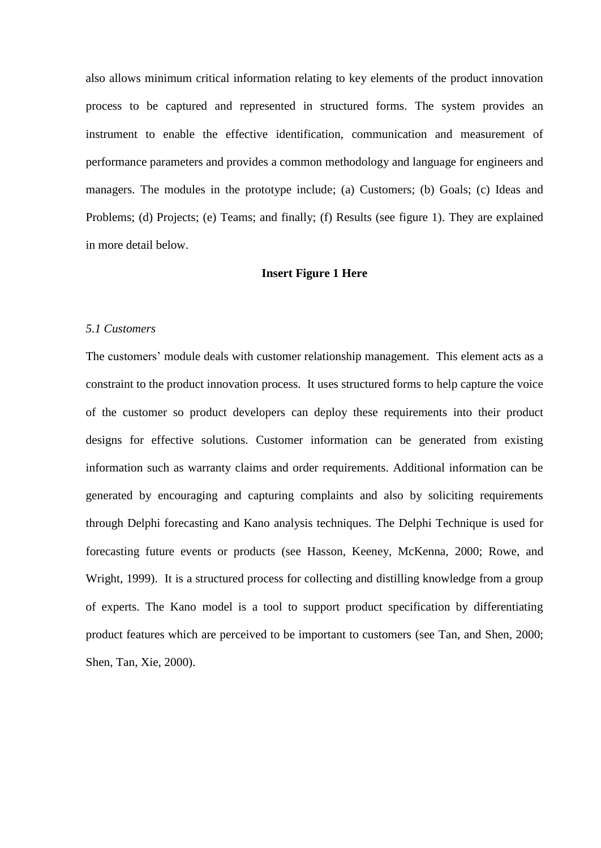also allows minimum critical information relating to key elements of the product innovation process to be captured and represented in structured forms. The system provides an instrument to enable the effective identification, communication and measurement of performance parameters and provides a common methodology and language for engineers and managers. The modules in the prototype include; (a) Customers; (b) Goals; (c) Ideas and Problems; (d) Projects; (e) Teams; and finally; (f) Results (see figure 1). They are explained in more detail below.

#### **Insert Figure 1 Here**

## *5.1 Customers*

The customers' module deals with customer relationship management. This element acts as a constraint to the product innovation process. It uses structured forms to help capture the voice of the customer so product developers can deploy these requirements into their product designs for effective solutions. Customer information can be generated from existing information such as warranty claims and order requirements. Additional information can be generated by encouraging and capturing complaints and also by soliciting requirements through Delphi forecasting and Kano analysis techniques. The Delphi Technique is used for forecasting future events or products (see Hasson, Keeney, McKenna, 2000; Rowe, and Wright, 1999). It is a structured process for collecting and distilling knowledge from a group of experts. The Kano model is a tool to support product specification by differentiating product features which are perceived to be important to customers (see Tan, and Shen, 2000; Shen, Tan, Xie, 2000).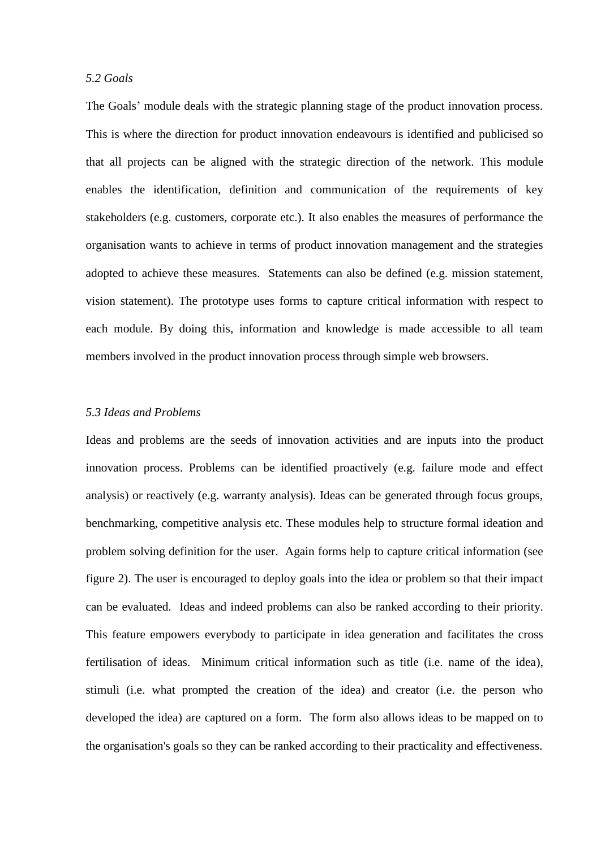## *5.2 Goals*

The Goals' module deals with the strategic planning stage of the product innovation process. This is where the direction for product innovation endeavours is identified and publicised so that all projects can be aligned with the strategic direction of the network. This module enables the identification, definition and communication of the requirements of key stakeholders (e.g. customers, corporate etc.). It also enables the measures of performance the organisation wants to achieve in terms of product innovation management and the strategies adopted to achieve these measures. Statements can also be defined (e.g. mission statement, vision statement). The prototype uses forms to capture critical information with respect to each module. By doing this, information and knowledge is made accessible to all team members involved in the product innovation process through simple web browsers.

## *5.3 Ideas and Problems*

Ideas and problems are the seeds of innovation activities and are inputs into the product innovation process. Problems can be identified proactively (e.g. failure mode and effect analysis) or reactively (e.g. warranty analysis). Ideas can be generated through focus groups, benchmarking, competitive analysis etc. These modules help to structure formal ideation and problem solving definition for the user. Again forms help to capture critical information (see figure 2). The user is encouraged to deploy goals into the idea or problem so that their impact can be evaluated. Ideas and indeed problems can also be ranked according to their priority. This feature empowers everybody to participate in idea generation and facilitates the cross fertilisation of ideas. Minimum critical information such as title (i.e. name of the idea), stimuli (i.e. what prompted the creation of the idea) and creator (i.e. the person who developed the idea) are captured on a form. The form also allows ideas to be mapped on to the organisation's goals so they can be ranked according to their practicality and effectiveness.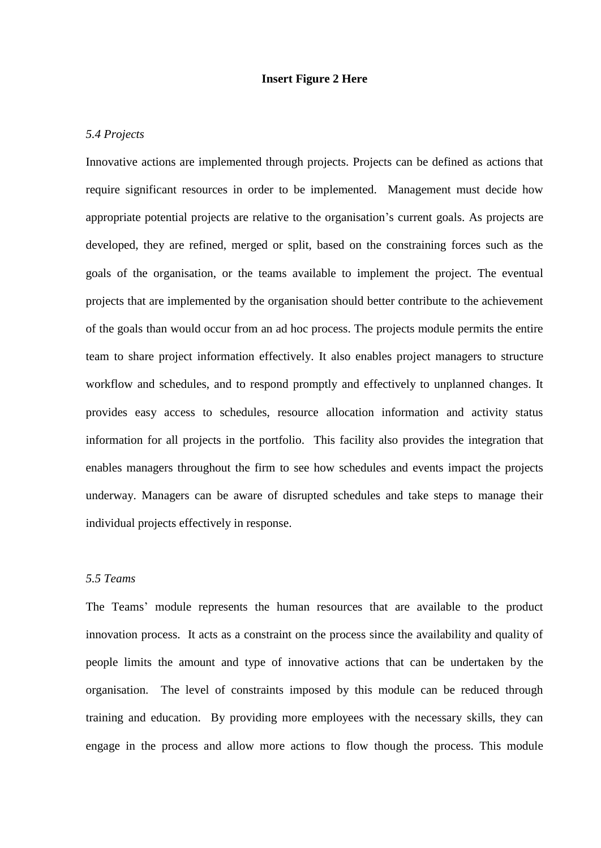## **Insert Figure 2 Here**

## *5.4 Projects*

Innovative actions are implemented through projects. Projects can be defined as actions that require significant resources in order to be implemented. Management must decide how appropriate potential projects are relative to the organisation's current goals. As projects are developed, they are refined, merged or split, based on the constraining forces such as the goals of the organisation, or the teams available to implement the project. The eventual projects that are implemented by the organisation should better contribute to the achievement of the goals than would occur from an ad hoc process. The projects module permits the entire team to share project information effectively. It also enables project managers to structure workflow and schedules, and to respond promptly and effectively to unplanned changes. It provides easy access to schedules, resource allocation information and activity status information for all projects in the portfolio. This facility also provides the integration that enables managers throughout the firm to see how schedules and events impact the projects underway. Managers can be aware of disrupted schedules and take steps to manage their individual projects effectively in response.

# *5.5 Teams*

The Teams' module represents the human resources that are available to the product innovation process. It acts as a constraint on the process since the availability and quality of people limits the amount and type of innovative actions that can be undertaken by the organisation. The level of constraints imposed by this module can be reduced through training and education. By providing more employees with the necessary skills, they can engage in the process and allow more actions to flow though the process. This module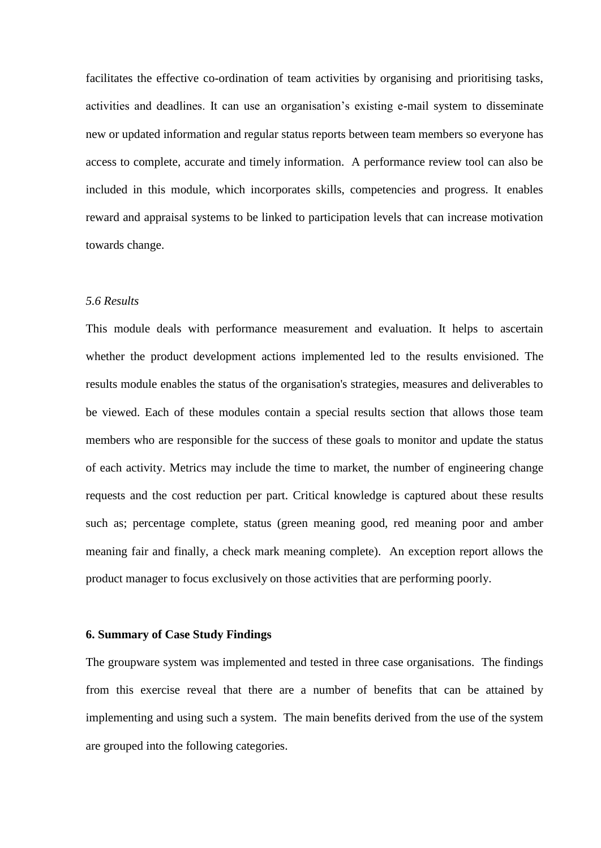facilitates the effective co-ordination of team activities by organising and prioritising tasks, activities and deadlines. It can use an organisation's existing e-mail system to disseminate new or updated information and regular status reports between team members so everyone has access to complete, accurate and timely information. A performance review tool can also be included in this module, which incorporates skills, competencies and progress. It enables reward and appraisal systems to be linked to participation levels that can increase motivation towards change.

## *5.6 Results*

This module deals with performance measurement and evaluation. It helps to ascertain whether the product development actions implemented led to the results envisioned. The results module enables the status of the organisation's strategies, measures and deliverables to be viewed. Each of these modules contain a special results section that allows those team members who are responsible for the success of these goals to monitor and update the status of each activity. Metrics may include the time to market, the number of engineering change requests and the cost reduction per part. Critical knowledge is captured about these results such as; percentage complete, status (green meaning good, red meaning poor and amber meaning fair and finally, a check mark meaning complete). An exception report allows the product manager to focus exclusively on those activities that are performing poorly.

# **6. Summary of Case Study Findings**

The groupware system was implemented and tested in three case organisations. The findings from this exercise reveal that there are a number of benefits that can be attained by implementing and using such a system. The main benefits derived from the use of the system are grouped into the following categories.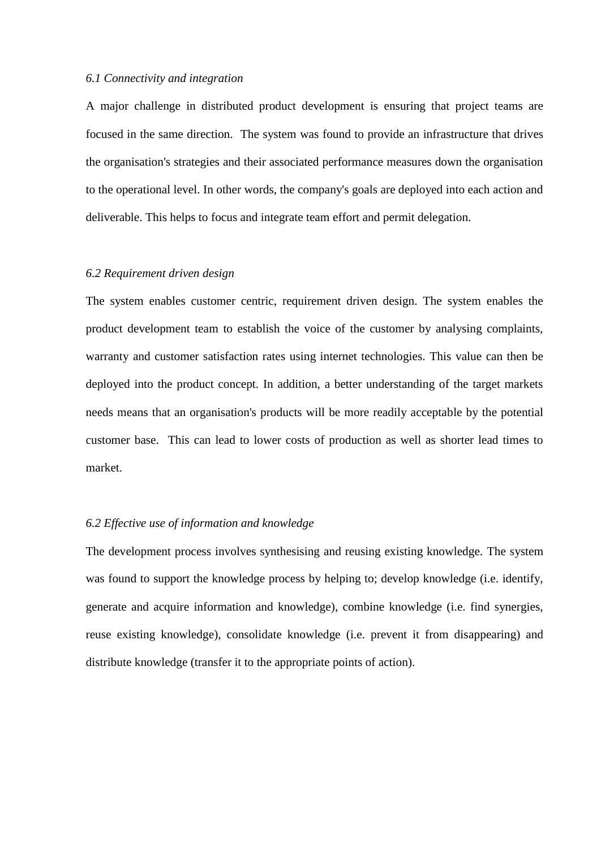## *6.1 Connectivity and integration*

A major challenge in distributed product development is ensuring that project teams are focused in the same direction. The system was found to provide an infrastructure that drives the organisation's strategies and their associated performance measures down the organisation to the operational level. In other words, the company's goals are deployed into each action and deliverable. This helps to focus and integrate team effort and permit delegation.

## *6.2 Requirement driven design*

The system enables customer centric, requirement driven design. The system enables the product development team to establish the voice of the customer by analysing complaints, warranty and customer satisfaction rates using internet technologies. This value can then be deployed into the product concept. In addition, a better understanding of the target markets needs means that an organisation's products will be more readily acceptable by the potential customer base. This can lead to lower costs of production as well as shorter lead times to market.

## *6.2 Effective use of information and knowledge*

The development process involves synthesising and reusing existing knowledge. The system was found to support the knowledge process by helping to; develop knowledge (i.e. identify, generate and acquire information and knowledge), combine knowledge (i.e. find synergies, reuse existing knowledge), consolidate knowledge (i.e. prevent it from disappearing) and distribute knowledge (transfer it to the appropriate points of action).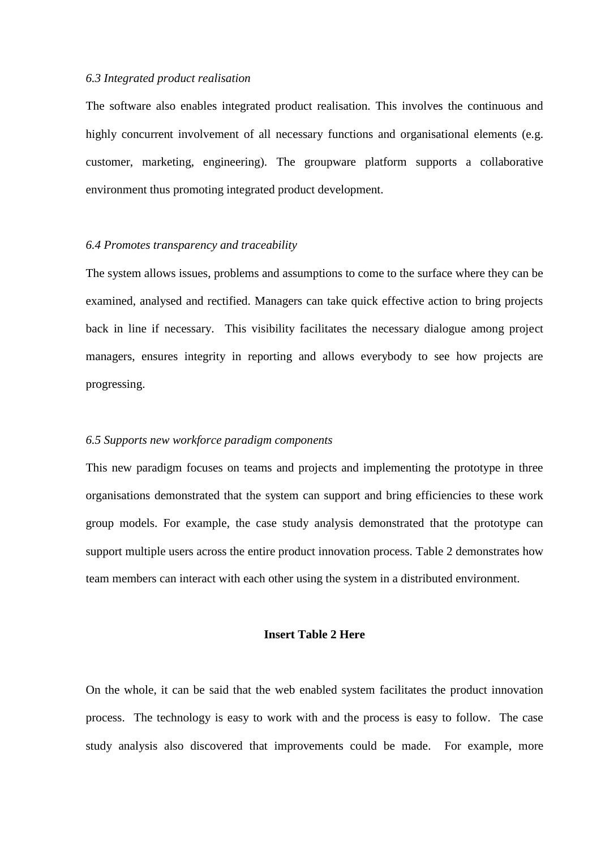## *6.3 Integrated product realisation*

The software also enables integrated product realisation. This involves the continuous and highly concurrent involvement of all necessary functions and organisational elements (e.g. customer, marketing, engineering). The groupware platform supports a collaborative environment thus promoting integrated product development.

#### *6.4 Promotes transparency and traceability*

The system allows issues, problems and assumptions to come to the surface where they can be examined, analysed and rectified. Managers can take quick effective action to bring projects back in line if necessary. This visibility facilitates the necessary dialogue among project managers, ensures integrity in reporting and allows everybody to see how projects are progressing.

#### *6.5 Supports new workforce paradigm components*

This new paradigm focuses on teams and projects and implementing the prototype in three organisations demonstrated that the system can support and bring efficiencies to these work group models. For example, the case study analysis demonstrated that the prototype can support multiple users across the entire product innovation process. Table 2 demonstrates how team members can interact with each other using the system in a distributed environment.

# **Insert Table 2 Here**

On the whole, it can be said that the web enabled system facilitates the product innovation process. The technology is easy to work with and the process is easy to follow. The case study analysis also discovered that improvements could be made. For example, more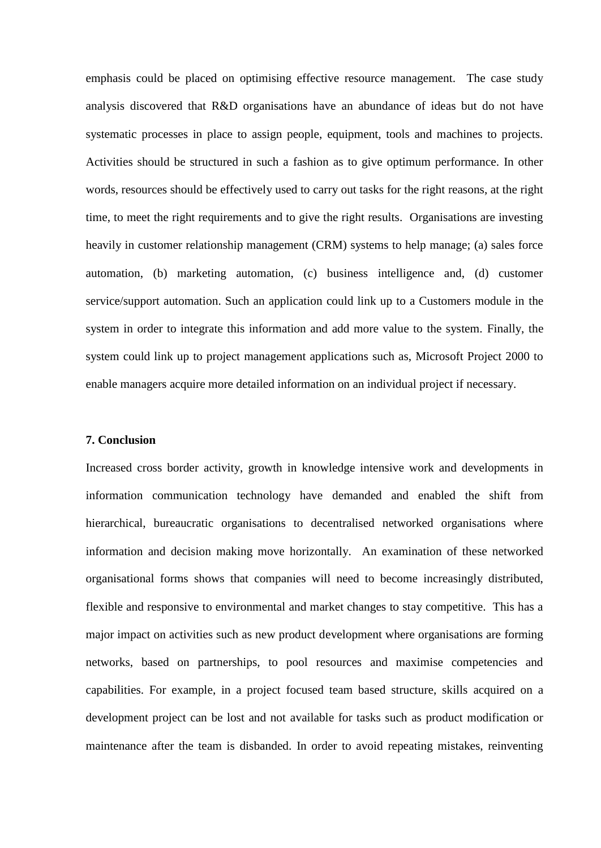emphasis could be placed on optimising effective resource management. The case study analysis discovered that R&D organisations have an abundance of ideas but do not have systematic processes in place to assign people, equipment, tools and machines to projects. Activities should be structured in such a fashion as to give optimum performance. In other words, resources should be effectively used to carry out tasks for the right reasons, at the right time, to meet the right requirements and to give the right results. Organisations are investing heavily in customer relationship management (CRM) systems to help manage; (a) sales force automation, (b) marketing automation, (c) business intelligence and, (d) customer service/support automation. Such an application could link up to a Customers module in the system in order to integrate this information and add more value to the system. Finally, the system could link up to project management applications such as, Microsoft Project 2000 to enable managers acquire more detailed information on an individual project if necessary.

## **7. Conclusion**

Increased cross border activity, growth in knowledge intensive work and developments in information communication technology have demanded and enabled the shift from hierarchical, bureaucratic organisations to decentralised networked organisations where information and decision making move horizontally. An examination of these networked organisational forms shows that companies will need to become increasingly distributed, flexible and responsive to environmental and market changes to stay competitive. This has a major impact on activities such as new product development where organisations are forming networks, based on partnerships, to pool resources and maximise competencies and capabilities. For example, in a project focused team based structure, skills acquired on a development project can be lost and not available for tasks such as product modification or maintenance after the team is disbanded. In order to avoid repeating mistakes, reinventing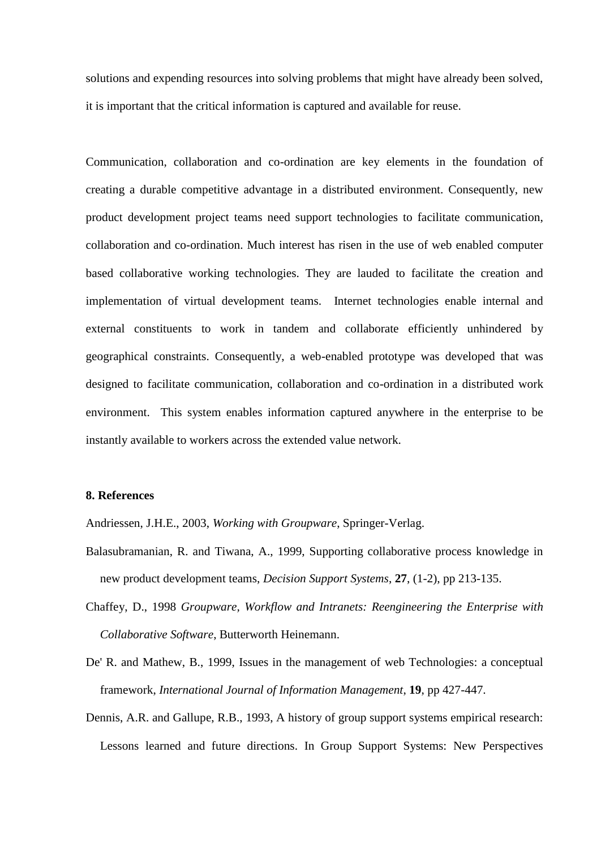solutions and expending resources into solving problems that might have already been solved, it is important that the critical information is captured and available for reuse.

Communication, collaboration and co-ordination are key elements in the foundation of creating a durable competitive advantage in a distributed environment. Consequently, new product development project teams need support technologies to facilitate communication, collaboration and co-ordination. Much interest has risen in the use of web enabled computer based collaborative working technologies. They are lauded to facilitate the creation and implementation of virtual development teams. Internet technologies enable internal and external constituents to work in tandem and collaborate efficiently unhindered by geographical constraints. Consequently, a web-enabled prototype was developed that was designed to facilitate communication, collaboration and co-ordination in a distributed work environment. This system enables information captured anywhere in the enterprise to be instantly available to workers across the extended value network.

# **8. References**

Andriessen, J.H.E., 2003, *Working with Groupware*, Springer-Verlag.

- Balasubramanian, R. and Tiwana, A., 1999, Supporting collaborative process knowledge in new product development teams, *Decision Support Systems*, **27**, (1-2), pp 213-135.
- Chaffey, D., 1998 *Groupware, Workflow and Intranets: Reengineering the Enterprise with Collaborative Software*, Butterworth Heinemann.
- De' R. and Mathew, B., 1999, Issues in the management of web Technologies: a conceptual framework, *International Journal of Information Management*, **19**, pp 427-447.
- Dennis, A.R. and Gallupe, R.B., 1993, A history of group support systems empirical research: Lessons learned and future directions. In Group Support Systems: New Perspectives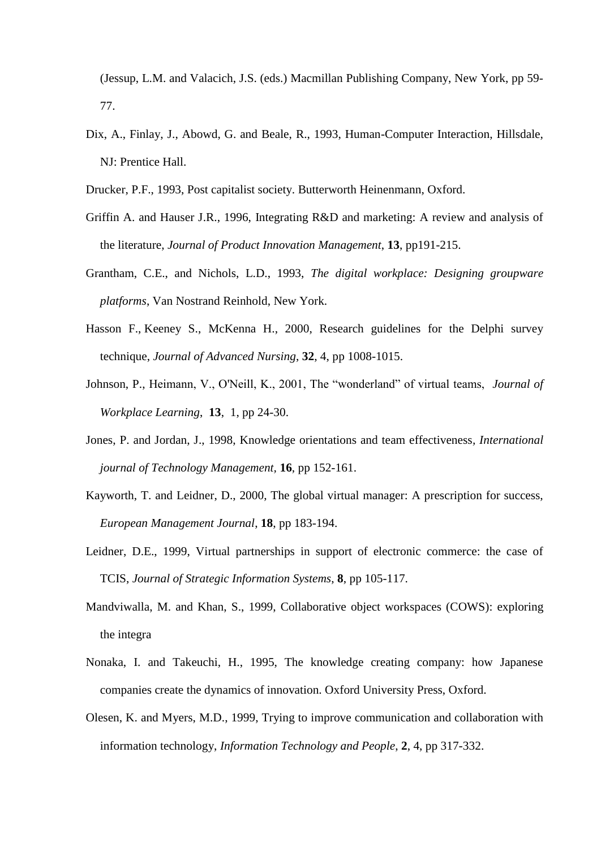(Jessup, L.M. and Valacich, J.S. (eds.) Macmillan Publishing Company, New York, pp 59- 77.

- Dix, A., Finlay, J., Abowd, G. and Beale, R., 1993, Human-Computer Interaction, Hillsdale, NJ: Prentice Hall.
- Drucker, P.F., 1993, Post capitalist society. Butterworth Heinenmann, Oxford.
- Griffin A. and Hauser J.R., 1996, Integrating R&D and marketing: A review and analysis of the literature, *Journal of Product Innovation Management*, **13**, pp191-215.
- Grantham, C.E., and Nichols, L.D., 1993, *The digital workplace: Designing groupware platforms*, Van Nostrand Reinhold, New York.
- Hasson F., Keeney S., McKenna H., 2000, Research guidelines for the Delphi survey technique, *Journal of Advanced Nursing*, **32**, 4, pp 1008-1015.
- Johnson, P., Heimann, V., O'Neill, K., 2001, The "wonderland" of virtual teams, *Journal of Workplace Learning*, **13**, 1, pp 24-30.
- Jones, P. and Jordan, J., 1998, Knowledge orientations and team effectiveness*, International journal of Technology Management,* **16**, pp 152-161.
- Kayworth, T. and Leidner, D., 2000, The global virtual manager: A prescription for success, *European Management Journal*, **18**, pp 183-194.
- Leidner, D.E., 1999, Virtual partnerships in support of electronic commerce: the case of TCIS, *Journal of Strategic Information Systems*, **8**, pp 105-117.
- Mandviwalla, M. and Khan, S., 1999, Collaborative object workspaces (COWS): exploring the integra
- Nonaka, I. and Takeuchi, H., 1995, The knowledge creating company: how Japanese companies create the dynamics of innovation. Oxford University Press, Oxford.
- Olesen, K. and Myers, M.D., 1999, Trying to improve communication and collaboration with information technology, *Information Technology and People*, **2**, 4, pp 317-332.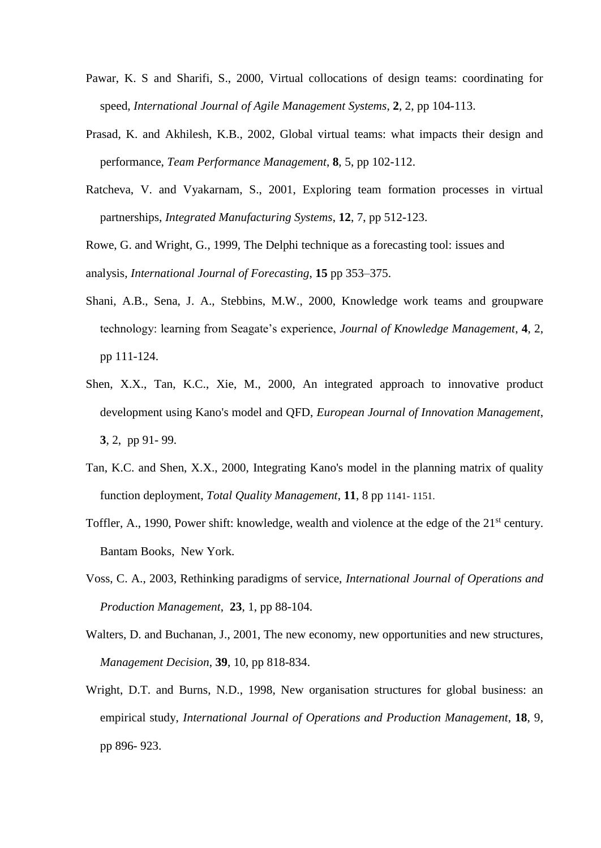- Pawar, K. S and Sharifi, S., 2000, Virtual collocations of design teams: coordinating for speed, *International Journal of Agile Management Systems*, **2**, 2, pp 104-113.
- Prasad, K. and Akhilesh, K.B., 2002, Global virtual teams: what impacts their design and performance, *Team Performance Management*, **8**, 5, pp 102-112.
- Ratcheva, V. and Vyakarnam, S., 2001, Exploring team formation processes in virtual partnerships, *Integrated Manufacturing Systems*, **12**, 7, pp 512-123.

Rowe, G. and Wright, G., 1999, The Delphi technique as a forecasting tool: issues and analysis, *International Journal of Forecasting*, **15** pp 353–375.

- Shani, A.B., Sena, J. A., Stebbins, M.W., 2000, Knowledge work teams and groupware technology: learning from Seagate's experience, *Journal of Knowledge Management*, **4**, 2, pp 111-124.
- Shen, X.X., Tan, K.C., Xie, M., 2000, An integrated approach to innovative product development using Kano's model and QFD, *European Journal of Innovation Management*, **3**, 2, pp 91- 99.
- Tan, K.C. and Shen, X.X., 2000, Integrating Kano's model in the planning matrix of quality function deployment, *Total Quality Management*, **11**, 8 pp 1141- 1151.
- Toffler, A., 1990, Power shift: knowledge, wealth and violence at the edge of the 21<sup>st</sup> century. Bantam Books, New York.
- Voss, C. A., 2003, Rethinking paradigms of service, *International Journal of Operations and Production Management*, **23**, 1, pp 88-104.
- Walters, D. and Buchanan, J., 2001, The new economy, new opportunities and new structures, *Management Decision*, **39**, 10, pp 818-834.
- Wright, D.T. and Burns, N.D., 1998, New organisation structures for global business: an empirical study, *International Journal of Operations and Production Management*, **18**, 9, pp 896- 923.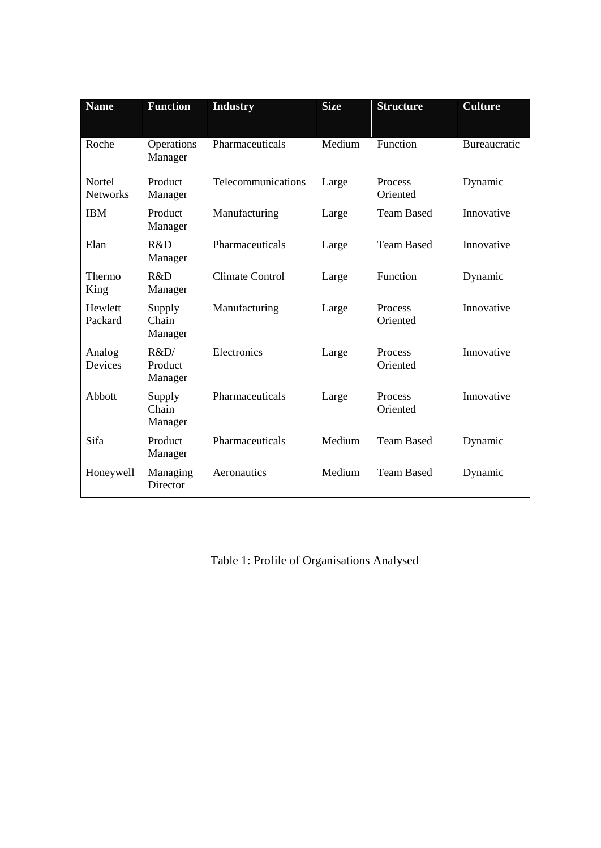| <b>Name</b>               | <b>Function</b>            | <b>Industry</b>    | <b>Size</b> | <b>Structure</b>    | <b>Culture</b>      |
|---------------------------|----------------------------|--------------------|-------------|---------------------|---------------------|
| Roche                     | Operations<br>Manager      | Pharmaceuticals    | Medium      | Function            | <b>Bureaucratic</b> |
| Nortel<br><b>Networks</b> | Product<br>Manager         | Telecommunications | Large       | Process<br>Oriented | Dynamic             |
| <b>IBM</b>                | Product<br>Manager         | Manufacturing      | Large       | <b>Team Based</b>   | Innovative          |
| Elan                      | R&D<br>Manager             | Pharmaceuticals    | Large       | <b>Team Based</b>   | Innovative          |
| Thermo<br>King            | R&D<br>Manager             | Climate Control    | Large       | Function            | Dynamic             |
| Hewlett<br>Packard        | Supply<br>Chain<br>Manager | Manufacturing      | Large       | Process<br>Oriented | Innovative          |
| Analog<br>Devices         | R&D<br>Product<br>Manager  | Electronics        | Large       | Process<br>Oriented | Innovative          |
| Abbott                    | Supply<br>Chain<br>Manager | Pharmaceuticals    | Large       | Process<br>Oriented | Innovative          |
| Sifa                      | Product<br>Manager         | Pharmaceuticals    | Medium      | <b>Team Based</b>   | Dynamic             |
| Honeywell                 | Managing<br>Director       | Aeronautics        | Medium      | <b>Team Based</b>   | Dynamic             |

Table 1: Profile of Organisations Analysed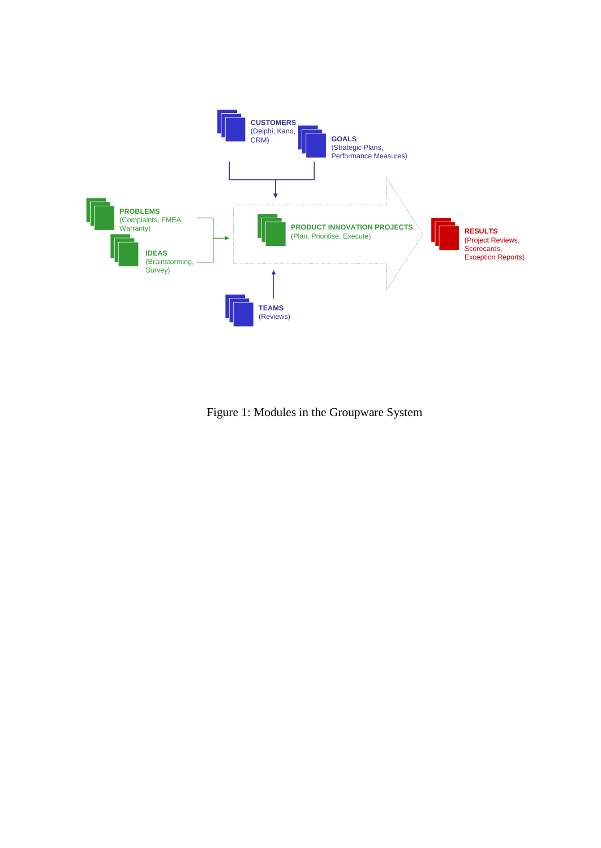

Figure 1: Modules in the Groupware System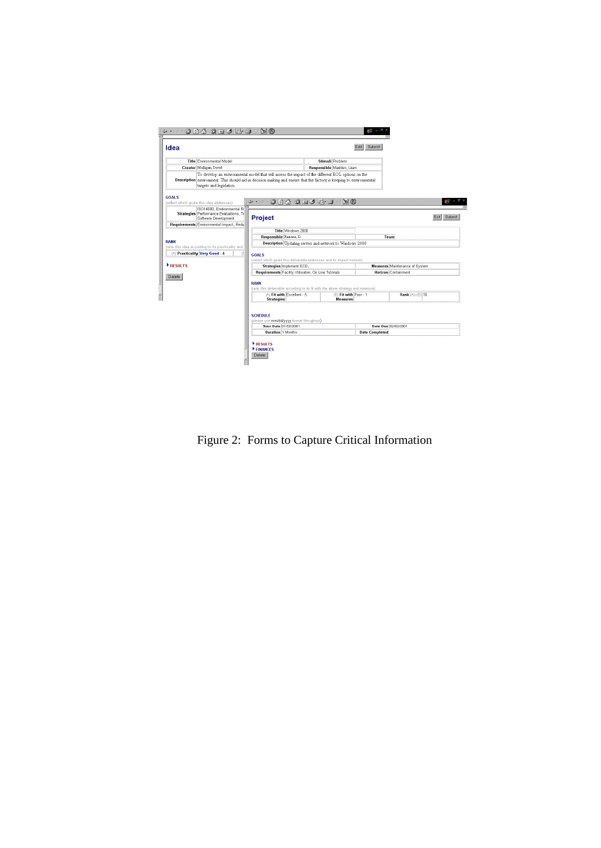| + + - + 0 0 4 0 6 3 5 4 7 5 6<br>Idea                                                  | Submit<br>Edit                                                                                                                                                                                                                                       |  |  |  |  |  |
|----------------------------------------------------------------------------------------|------------------------------------------------------------------------------------------------------------------------------------------------------------------------------------------------------------------------------------------------------|--|--|--|--|--|
| Title Environmental Model                                                              | Stimuli Problem                                                                                                                                                                                                                                      |  |  |  |  |  |
| Creator Mulligan, David                                                                | Responsible Madden, Liam                                                                                                                                                                                                                             |  |  |  |  |  |
|                                                                                        | To develop an environmental model that will assess the impact of the different EOL options on the<br>Description environment. This should aid in decision making and ensure that the factory is keeping to environmental<br>targets and legislation. |  |  |  |  |  |
| <b>GOALS</b><br>(select which goals this idea addresses)<br>ISO14000, Environmental Re | an.                                                                                                                                                                                                                                                  |  |  |  |  |  |
| Strategies Performance Evaluations, Te<br>Software Development                         | Submit<br>Project<br>Fdit                                                                                                                                                                                                                            |  |  |  |  |  |
| Requirements Environmental Impact, Redu                                                |                                                                                                                                                                                                                                                      |  |  |  |  |  |
|                                                                                        | Title Windows 2000                                                                                                                                                                                                                                   |  |  |  |  |  |
| <b>RANK</b>                                                                            | Responsible Ramone, D.<br>Team                                                                                                                                                                                                                       |  |  |  |  |  |
| (rank this idea according to its practicality and                                      | Description Updating servers and network to Windows 2000                                                                                                                                                                                             |  |  |  |  |  |
| (A) Practicality Very Good - 4                                                         | Æ<br><b>GOALS</b><br>(select which goals this deliverable addresses and its impact horizon)                                                                                                                                                          |  |  |  |  |  |
| <b>RESULTS</b>                                                                         | Strategies Implement ECDL<br><b>Measures</b> Maintenance of System                                                                                                                                                                                   |  |  |  |  |  |
|                                                                                        | Requirements Facility Utilisation, On Line Tutorials<br><b>Horizon</b> Containment                                                                                                                                                                   |  |  |  |  |  |
| Delete                                                                                 | <b>RANK</b><br>(rank this deliverable according to its fit with the above strategy and measure)                                                                                                                                                      |  |  |  |  |  |
|                                                                                        | (A) Fit with Excellent - 5<br>(B) Fit with Poor - 1<br>Rank (A) x(B) 10<br><b>Measures</b><br><b>Strategies</b>                                                                                                                                      |  |  |  |  |  |
|                                                                                        | <b>SCHEDULE</b><br>(please use mm/dd/yyyy format throughout)<br>Start Date 01/02/2001<br>Date Due 02/02/2001<br><b>Duration</b> 1 Months<br><b>Date Completed</b><br>RESULTS<br><b>FINANCES</b>                                                      |  |  |  |  |  |
|                                                                                        | Delete                                                                                                                                                                                                                                               |  |  |  |  |  |

I

Figure 2: Forms to Capture Critical Information